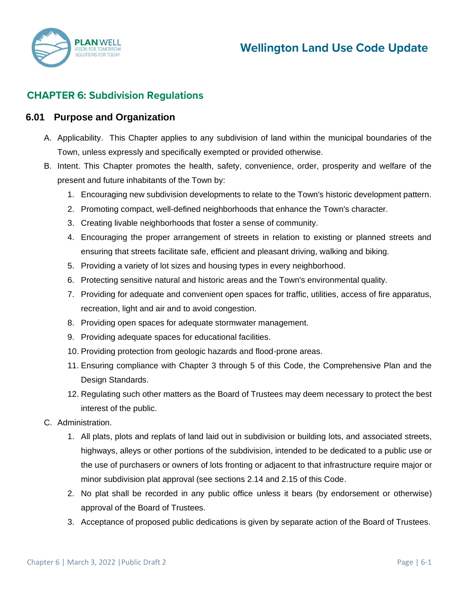

# **CHAPTER 6: Subdivision Regulations**

#### **6.01 Purpose and Organization**

- A. Applicability. This Chapter applies to any subdivision of land within the municipal boundaries of the Town, unless expressly and specifically exempted or provided otherwise.
- B. Intent. This Chapter promotes the health, safety, convenience, order, prosperity and welfare of the present and future inhabitants of the Town by:
	- 1. Encouraging new subdivision developments to relate to the Town's historic development pattern.
	- 2. Promoting compact, well-defined neighborhoods that enhance the Town's character.
	- 3. Creating livable neighborhoods that foster a sense of community.
	- 4. Encouraging the proper arrangement of streets in relation to existing or planned streets and ensuring that streets facilitate safe, efficient and pleasant driving, walking and biking.
	- 5. Providing a variety of lot sizes and housing types in every neighborhood.
	- 6. Protecting sensitive natural and historic areas and the Town's environmental quality.
	- 7. Providing for adequate and convenient open spaces for traffic, utilities, access of fire apparatus, recreation, light and air and to avoid congestion.
	- 8. Providing open spaces for adequate stormwater management.
	- 9. Providing adequate spaces for educational facilities.
	- 10. Providing protection from geologic hazards and flood-prone areas.
	- 11. Ensuring compliance with Chapter 3 through 5 of this Code, the Comprehensive Plan and the Design Standards.
	- 12. Regulating such other matters as the Board of Trustees may deem necessary to protect the best interest of the public.
- C. Administration.
	- 1. All plats, plots and replats of land laid out in subdivision or building lots, and associated streets, highways, alleys or other portions of the subdivision, intended to be dedicated to a public use or the use of purchasers or owners of lots fronting or adjacent to that infrastructure require major or minor subdivision plat approval (see sections 2.14 and 2.15 of this Code.
	- 2. No plat shall be recorded in any public office unless it bears (by endorsement or otherwise) approval of the Board of Trustees.
	- 3. Acceptance of proposed public dedications is given by separate action of the Board of Trustees.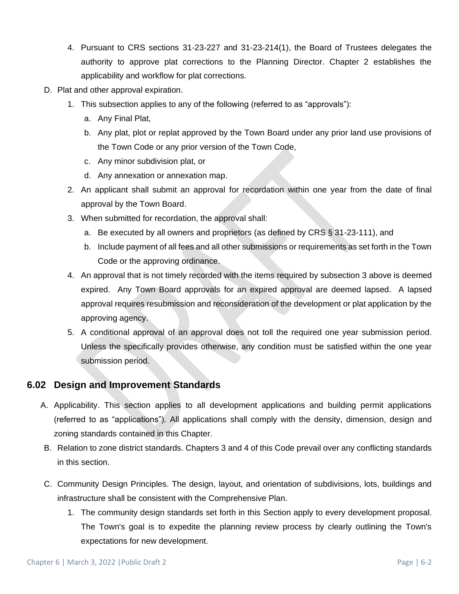- 4. Pursuant to CRS sections 31-23-227 and 31-23-214(1), the Board of Trustees delegates the authority to approve plat corrections to the Planning Director. Chapter 2 establishes the applicability and workflow for plat corrections.
- D. Plat and other approval expiration.
	- 1. This subsection applies to any of the following (referred to as "approvals"):
		- a. Any Final Plat,
		- b. Any plat, plot or replat approved by the Town Board under any prior land use provisions of the Town Code or any prior version of the Town Code,
		- c. Any minor subdivision plat, or
		- d. Any annexation or annexation map.
	- 2. An applicant shall submit an approval for recordation within one year from the date of final approval by the Town Board.
	- 3. When submitted for recordation, the approval shall:
		- a. Be executed by all owners and proprietors (as defined by CRS § 31-23-111), and
		- b. Include payment of all fees and all other submissions or requirements as set forth in the Town Code or the approving ordinance.
	- 4. An approval that is not timely recorded with the items required by subsection 3 above is deemed expired. Any Town Board approvals for an expired approval are deemed lapsed. A lapsed approval requires resubmission and reconsideration of the development or plat application by the approving agency.
	- 5. A conditional approval of an approval does not toll the required one year submission period. Unless the specifically provides otherwise, any condition must be satisfied within the one year submission period.

### **6.02 Design and Improvement Standards**

- A. Applicability. This section applies to all development applications and building permit applications (referred to as "applications"). All applications shall comply with the density, dimension, design and zoning standards contained in this Chapter.
- B. Relation to zone district standards. Chapters 3 and 4 of this Code prevail over any conflicting standards in this section.
- C. Community Design Principles. The design, layout, and orientation of subdivisions, lots, buildings and infrastructure shall be consistent with the Comprehensive Plan.
	- 1. The community design standards set forth in this Section apply to every development proposal. The Town's goal is to expedite the planning review process by clearly outlining the Town's expectations for new development.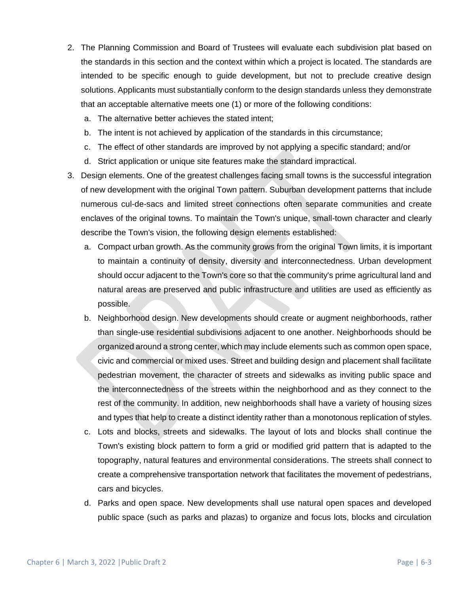- 2. The Planning Commission and Board of Trustees will evaluate each subdivision plat based on the standards in this section and the context within which a project is located. The standards are intended to be specific enough to guide development, but not to preclude creative design solutions. Applicants must substantially conform to the design standards unless they demonstrate that an acceptable alternative meets one (1) or more of the following conditions:
	- a. The alternative better achieves the stated intent;
	- b. The intent is not achieved by application of the standards in this circumstance;
	- c. The effect of other standards are improved by not applying a specific standard; and/or
	- d. Strict application or unique site features make the standard impractical.
- 3. Design elements. One of the greatest challenges facing small towns is the successful integration of new development with the original Town pattern. Suburban development patterns that include numerous cul-de-sacs and limited street connections often separate communities and create enclaves of the original towns. To maintain the Town's unique, small-town character and clearly describe the Town's vision, the following design elements established:
	- a. Compact urban growth. As the community grows from the original Town limits, it is important to maintain a continuity of density, diversity and interconnectedness. Urban development should occur adjacent to the Town's core so that the community's prime agricultural land and natural areas are preserved and public infrastructure and utilities are used as efficiently as possible.
	- b. Neighborhood design. New developments should create or augment neighborhoods, rather than single-use residential subdivisions adjacent to one another. Neighborhoods should be organized around a strong center, which may include elements such as common open space, civic and commercial or mixed uses. Street and building design and placement shall facilitate pedestrian movement, the character of streets and sidewalks as inviting public space and the interconnectedness of the streets within the neighborhood and as they connect to the rest of the community. In addition, new neighborhoods shall have a variety of housing sizes and types that help to create a distinct identity rather than a monotonous replication of styles.
	- c. Lots and blocks, streets and sidewalks. The layout of lots and blocks shall continue the Town's existing block pattern to form a grid or modified grid pattern that is adapted to the topography, natural features and environmental considerations. The streets shall connect to create a comprehensive transportation network that facilitates the movement of pedestrians, cars and bicycles.
	- d. Parks and open space. New developments shall use natural open spaces and developed public space (such as parks and plazas) to organize and focus lots, blocks and circulation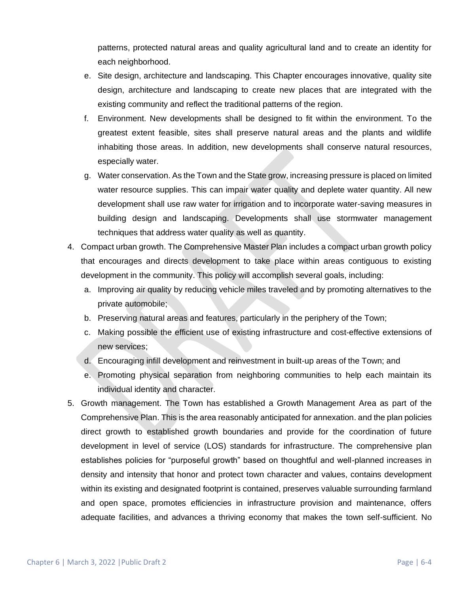patterns, protected natural areas and quality agricultural land and to create an identity for each neighborhood.

- e. Site design, architecture and landscaping. This Chapter encourages innovative, quality site design, architecture and landscaping to create new places that are integrated with the existing community and reflect the traditional patterns of the region.
- f. Environment. New developments shall be designed to fit within the environment. To the greatest extent feasible, sites shall preserve natural areas and the plants and wildlife inhabiting those areas. In addition, new developments shall conserve natural resources, especially water.
- g. Water conservation. As the Town and the State grow, increasing pressure is placed on limited water resource supplies. This can impair water quality and deplete water quantity. All new development shall use raw water for irrigation and to incorporate water-saving measures in building design and landscaping. Developments shall use stormwater management techniques that address water quality as well as quantity.
- 4. Compact urban growth. The Comprehensive Master Plan includes a compact urban growth policy that encourages and directs development to take place within areas contiguous to existing development in the community. This policy will accomplish several goals, including:
	- a. Improving air quality by reducing vehicle miles traveled and by promoting alternatives to the private automobile;
	- b. Preserving natural areas and features, particularly in the periphery of the Town;
	- c. Making possible the efficient use of existing infrastructure and cost-effective extensions of new services;
	- d. Encouraging infill development and reinvestment in built-up areas of the Town; and
	- e. Promoting physical separation from neighboring communities to help each maintain its individual identity and character.
- 5. Growth management. The Town has established a Growth Management Area as part of the Comprehensive Plan. This is the area reasonably anticipated for annexation. and the plan policies direct growth to established growth boundaries and provide for the coordination of future development in level of service (LOS) standards for infrastructure. The comprehensive plan establishes policies for "purposeful growth" based on thoughtful and well-planned increases in density and intensity that honor and protect town character and values, contains development within its existing and designated footprint is contained, preserves valuable surrounding farmland and open space, promotes efficiencies in infrastructure provision and maintenance, offers adequate facilities, and advances a thriving economy that makes the town self-sufficient. No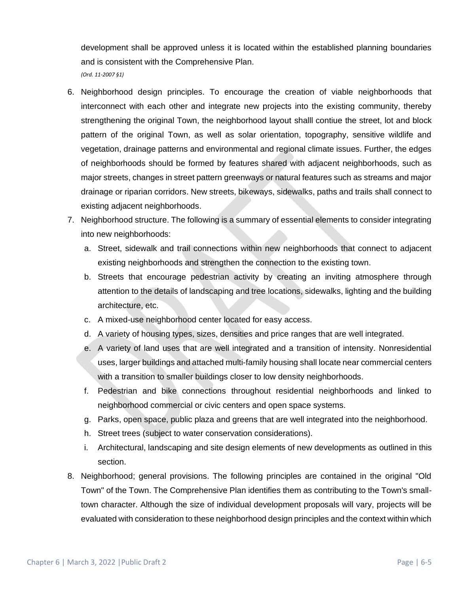development shall be approved unless it is located within the established planning boundaries and is consistent with the Comprehensive Plan. *(Ord. 11-2007 §1)* 

- 6. Neighborhood design principles. To encourage the creation of viable neighborhoods that interconnect with each other and integrate new projects into the existing community, thereby strengthening the original Town, the neighborhood layout shalll contiue the street, lot and block pattern of the original Town, as well as solar orientation, topography, sensitive wildlife and vegetation, drainage patterns and environmental and regional climate issues. Further, the edges of neighborhoods should be formed by features shared with adjacent neighborhoods, such as major streets, changes in street pattern greenways or natural features such as streams and major drainage or riparian corridors. New streets, bikeways, sidewalks, paths and trails shall connect to existing adjacent neighborhoods.
- 7. Neighborhood structure. The following is a summary of essential elements to consider integrating into new neighborhoods:
	- a. Street, sidewalk and trail connections within new neighborhoods that connect to adjacent existing neighborhoods and strengthen the connection to the existing town.
	- b. Streets that encourage pedestrian activity by creating an inviting atmosphere through attention to the details of landscaping and tree locations, sidewalks, lighting and the building architecture, etc.
	- c. A mixed-use neighborhood center located for easy access.
	- d. A variety of housing types, sizes, densities and price ranges that are well integrated.
	- e. A variety of land uses that are well integrated and a transition of intensity. Nonresidential uses, larger buildings and attached multi-family housing shall locate near commercial centers with a transition to smaller buildings closer to low density neighborhoods.
	- f. Pedestrian and bike connections throughout residential neighborhoods and linked to neighborhood commercial or civic centers and open space systems.
	- g. Parks, open space, public plaza and greens that are well integrated into the neighborhood.
	- h. Street trees (subject to water conservation considerations).
	- i. Architectural, landscaping and site design elements of new developments as outlined in this section.
- 8. Neighborhood; general provisions. The following principles are contained in the original "Old Town" of the Town. The Comprehensive Plan identifies them as contributing to the Town's smalltown character. Although the size of individual development proposals will vary, projects will be evaluated with consideration to these neighborhood design principles and the context within which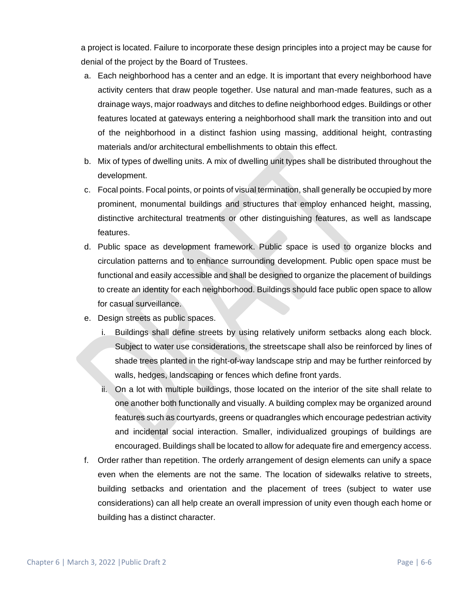a project is located. Failure to incorporate these design principles into a project may be cause for denial of the project by the Board of Trustees.

- a. Each neighborhood has a center and an edge. It is important that every neighborhood have activity centers that draw people together. Use natural and man-made features, such as a drainage ways, major roadways and ditches to define neighborhood edges. Buildings or other features located at gateways entering a neighborhood shall mark the transition into and out of the neighborhood in a distinct fashion using massing, additional height, contrasting materials and/or architectural embellishments to obtain this effect.
- b. Mix of types of dwelling units. A mix of dwelling unit types shall be distributed throughout the development.
- c. Focal points. Focal points, or points of visual termination, shall generally be occupied by more prominent, monumental buildings and structures that employ enhanced height, massing, distinctive architectural treatments or other distinguishing features, as well as landscape features.
- d. Public space as development framework. Public space is used to organize blocks and circulation patterns and to enhance surrounding development. Public open space must be functional and easily accessible and shall be designed to organize the placement of buildings to create an identity for each neighborhood. Buildings should face public open space to allow for casual surveillance.
- e. Design streets as public spaces.
	- i. Buildings shall define streets by using relatively uniform setbacks along each block. Subject to water use considerations, the streetscape shall also be reinforced by lines of shade trees planted in the right-of-way landscape strip and may be further reinforced by walls, hedges, landscaping or fences which define front yards.
	- ii. On a lot with multiple buildings, those located on the interior of the site shall relate to one another both functionally and visually. A building complex may be organized around features such as courtyards, greens or quadrangles which encourage pedestrian activity and incidental social interaction. Smaller, individualized groupings of buildings are encouraged. Buildings shall be located to allow for adequate fire and emergency access.
- f. Order rather than repetition. The orderly arrangement of design elements can unify a space even when the elements are not the same. The location of sidewalks relative to streets, building setbacks and orientation and the placement of trees (subject to water use considerations) can all help create an overall impression of unity even though each home or building has a distinct character.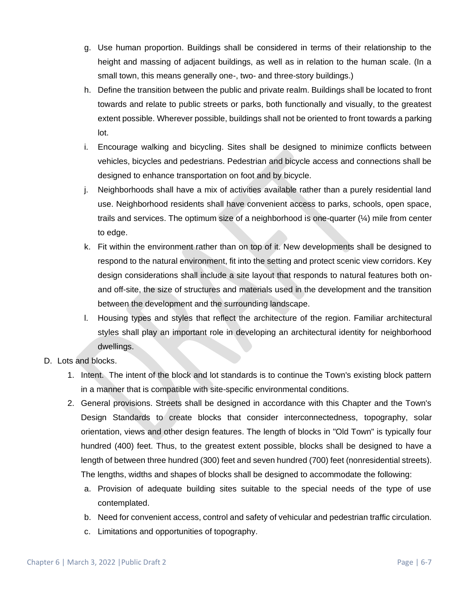- g. Use human proportion. Buildings shall be considered in terms of their relationship to the height and massing of adjacent buildings, as well as in relation to the human scale. (In a small town, this means generally one-, two- and three-story buildings.)
- h. Define the transition between the public and private realm. Buildings shall be located to front towards and relate to public streets or parks, both functionally and visually, to the greatest extent possible. Wherever possible, buildings shall not be oriented to front towards a parking lot.
- i. Encourage walking and bicycling. Sites shall be designed to minimize conflicts between vehicles, bicycles and pedestrians. Pedestrian and bicycle access and connections shall be designed to enhance transportation on foot and by bicycle.
- j. Neighborhoods shall have a mix of activities available rather than a purely residential land use. Neighborhood residents shall have convenient access to parks, schools, open space, trails and services. The optimum size of a neighborhood is one-quarter (¼) mile from center to edge.
- k. Fit within the environment rather than on top of it. New developments shall be designed to respond to the natural environment, fit into the setting and protect scenic view corridors. Key design considerations shall include a site layout that responds to natural features both onand off-site, the size of structures and materials used in the development and the transition between the development and the surrounding landscape.
- l. Housing types and styles that reflect the architecture of the region. Familiar architectural styles shall play an important role in developing an architectural identity for neighborhood dwellings.
- D. Lots and blocks.
	- 1. Intent. The intent of the block and lot standards is to continue the Town's existing block pattern in a manner that is compatible with site-specific environmental conditions.
	- 2. General provisions. Streets shall be designed in accordance with this Chapter and the Town's Design Standards to create blocks that consider interconnectedness, topography, solar orientation, views and other design features. The length of blocks in "Old Town" is typically four hundred (400) feet. Thus, to the greatest extent possible, blocks shall be designed to have a length of between three hundred (300) feet and seven hundred (700) feet (nonresidential streets). The lengths, widths and shapes of blocks shall be designed to accommodate the following:
		- a. Provision of adequate building sites suitable to the special needs of the type of use contemplated.
		- b. Need for convenient access, control and safety of vehicular and pedestrian traffic circulation.
		- c. Limitations and opportunities of topography.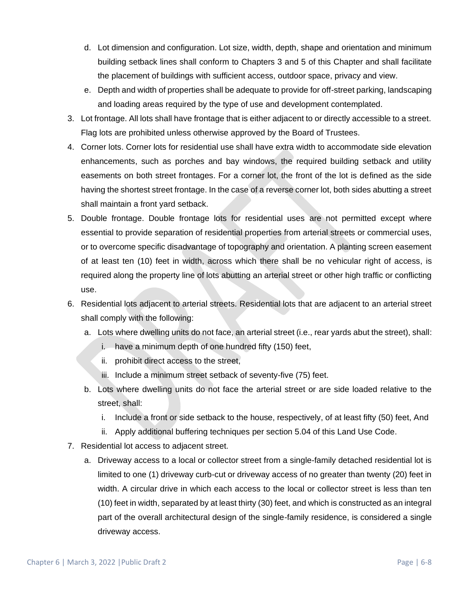- d. Lot dimension and configuration. Lot size, width, depth, shape and orientation and minimum building setback lines shall conform to Chapters 3 and 5 of this Chapter and shall facilitate the placement of buildings with sufficient access, outdoor space, privacy and view.
- e. Depth and width of properties shall be adequate to provide for off-street parking, landscaping and loading areas required by the type of use and development contemplated.
- 3. Lot frontage. All lots shall have frontage that is either adjacent to or directly accessible to a street. Flag lots are prohibited unless otherwise approved by the Board of Trustees.
- 4. Corner lots. Corner lots for residential use shall have extra width to accommodate side elevation enhancements, such as porches and bay windows, the required building setback and utility easements on both street frontages. For a corner lot, the front of the lot is defined as the side having the shortest street frontage. In the case of a reverse corner lot, both sides abutting a street shall maintain a front yard setback.
- 5. Double frontage. Double frontage lots for residential uses are not permitted except where essential to provide separation of residential properties from arterial streets or commercial uses, or to overcome specific disadvantage of topography and orientation. A planting screen easement of at least ten (10) feet in width, across which there shall be no vehicular right of access, is required along the property line of lots abutting an arterial street or other high traffic or conflicting use.
- 6. Residential lots adjacent to arterial streets. Residential lots that are adjacent to an arterial street shall comply with the following:
	- a. Lots where dwelling units do not face, an arterial street (i.e., rear yards abut the street), shall:
		- i. have a minimum depth of one hundred fifty (150) feet,
		- ii. prohibit direct access to the street,
		- iii. Include a minimum street setback of seventy-five (75) feet.
	- b. Lots where dwelling units do not face the arterial street or are side loaded relative to the street, shall:
		- i. Include a front or side setback to the house, respectively, of at least fifty (50) feet, And
		- ii. Apply additional buffering techniques per section 5.04 of this Land Use Code.
- 7. Residential lot access to adjacent street.
	- a. Driveway access to a local or collector street from a single-family detached residential lot is limited to one (1) driveway curb-cut or driveway access of no greater than twenty (20) feet in width. A circular drive in which each access to the local or collector street is less than ten (10) feet in width, separated by at least thirty (30) feet, and which is constructed as an integral part of the overall architectural design of the single-family residence, is considered a single driveway access.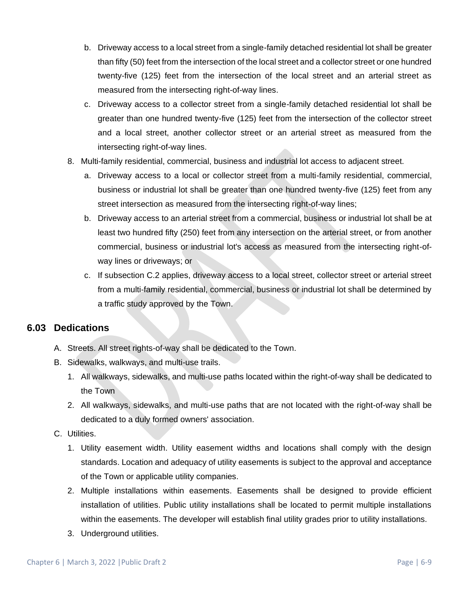- b. Driveway access to a local street from a single-family detached residential lot shall be greater than fifty (50) feet from the intersection of the local street and a collector street or one hundred twenty-five (125) feet from the intersection of the local street and an arterial street as measured from the intersecting right-of-way lines.
- c. Driveway access to a collector street from a single-family detached residential lot shall be greater than one hundred twenty-five (125) feet from the intersection of the collector street and a local street, another collector street or an arterial street as measured from the intersecting right-of-way lines.
- 8. Multi-family residential, commercial, business and industrial lot access to adjacent street.
	- a. Driveway access to a local or collector street from a multi-family residential, commercial, business or industrial lot shall be greater than one hundred twenty-five (125) feet from any street intersection as measured from the intersecting right-of-way lines:
	- b. Driveway access to an arterial street from a commercial, business or industrial lot shall be at least two hundred fifty (250) feet from any intersection on the arterial street, or from another commercial, business or industrial lot's access as measured from the intersecting right-ofway lines or driveways; or
	- c. If subsection C.2 applies, driveway access to a local street, collector street or arterial street from a multi-family residential, commercial, business or industrial lot shall be determined by a traffic study approved by the Town.

### **6.03 Dedications**

- A. Streets. All street rights-of-way shall be dedicated to the Town.
- B. Sidewalks, walkways, and multi-use trails.
	- 1. All walkways, sidewalks, and multi-use paths located within the right-of-way shall be dedicated to the Town
	- 2. All walkways, sidewalks, and multi-use paths that are not located with the right-of-way shall be dedicated to a duly formed owners' association.
- C. Utilities.
	- 1. Utility easement width. Utility easement widths and locations shall comply with the design standards. Location and adequacy of utility easements is subject to the approval and acceptance of the Town or applicable utility companies.
	- 2. Multiple installations within easements. Easements shall be designed to provide efficient installation of utilities. Public utility installations shall be located to permit multiple installations within the easements. The developer will establish final utility grades prior to utility installations.
	- 3. Underground utilities.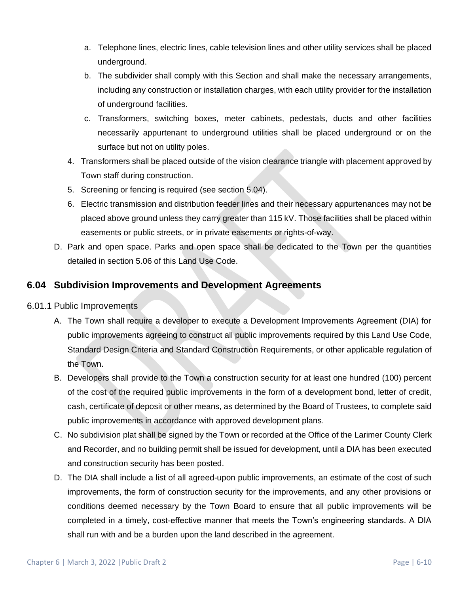- a. Telephone lines, electric lines, cable television lines and other utility services shall be placed underground.
- b. The subdivider shall comply with this Section and shall make the necessary arrangements, including any construction or installation charges, with each utility provider for the installation of underground facilities.
- c. Transformers, switching boxes, meter cabinets, pedestals, ducts and other facilities necessarily appurtenant to underground utilities shall be placed underground or on the surface but not on utility poles.
- 4. Transformers shall be placed outside of the vision clearance triangle with placement approved by Town staff during construction.
- 5. Screening or fencing is required (see section 5.04).
- 6. Electric transmission and distribution feeder lines and their necessary appurtenances may not be placed above ground unless they carry greater than 115 kV. Those facilities shall be placed within easements or public streets, or in private easements or rights-of-way.
- D. Park and open space. Parks and open space shall be dedicated to the Town per the quantities detailed in section 5.06 of this Land Use Code.

## **6.04 Subdivision Improvements and Development Agreements**

- 6.01.1 Public Improvements
	- A. The Town shall require a developer to execute a Development Improvements Agreement (DIA) for public improvements agreeing to construct all public improvements required by this Land Use Code, Standard Design Criteria and Standard Construction Requirements, or other applicable regulation of the Town.
	- B. Developers shall provide to the Town a construction security for at least one hundred (100) percent of the cost of the required public improvements in the form of a development bond, letter of credit, cash, certificate of deposit or other means, as determined by the Board of Trustees, to complete said public improvements in accordance with approved development plans.
	- C. No subdivision plat shall be signed by the Town or recorded at the Office of the Larimer County Clerk and Recorder, and no building permit shall be issued for development, until a DIA has been executed and construction security has been posted.
	- D. The DIA shall include a list of all agreed-upon public improvements, an estimate of the cost of such improvements, the form of construction security for the improvements, and any other provisions or conditions deemed necessary by the Town Board to ensure that all public improvements will be completed in a timely, cost-effective manner that meets the Town's engineering standards. A DIA shall run with and be a burden upon the land described in the agreement.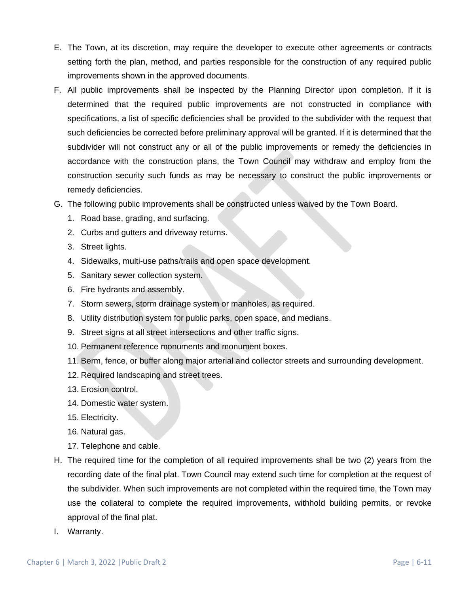- E. The Town, at its discretion, may require the developer to execute other agreements or contracts setting forth the plan, method, and parties responsible for the construction of any required public improvements shown in the approved documents.
- F. All public improvements shall be inspected by the Planning Director upon completion. If it is determined that the required public improvements are not constructed in compliance with specifications, a list of specific deficiencies shall be provided to the subdivider with the request that such deficiencies be corrected before preliminary approval will be granted. If it is determined that the subdivider will not construct any or all of the public improvements or remedy the deficiencies in accordance with the construction plans, the Town Council may withdraw and employ from the construction security such funds as may be necessary to construct the public improvements or remedy deficiencies.
- G. The following public improvements shall be constructed unless waived by the Town Board.
	- 1. Road base, grading, and surfacing.
	- 2. Curbs and gutters and driveway returns.
	- 3. Street lights.
	- 4. Sidewalks, multi-use paths/trails and open space development.
	- 5. Sanitary sewer collection system.
	- 6. Fire hydrants and assembly.
	- 7. Storm sewers, storm drainage system or manholes, as required.
	- 8. Utility distribution system for public parks, open space, and medians.
	- 9. Street signs at all street intersections and other traffic signs.
	- 10. Permanent reference monuments and monument boxes.
	- 11. Berm, fence, or buffer along major arterial and collector streets and surrounding development.
	- 12. Required landscaping and street trees.
	- 13. Erosion control.
	- 14. Domestic water system.
	- 15. Electricity.
	- 16. Natural gas.
	- 17. Telephone and cable.
- H. The required time for the completion of all required improvements shall be two (2) years from the recording date of the final plat. Town Council may extend such time for completion at the request of the subdivider. When such improvements are not completed within the required time, the Town may use the collateral to complete the required improvements, withhold building permits, or revoke approval of the final plat.
- I. Warranty.